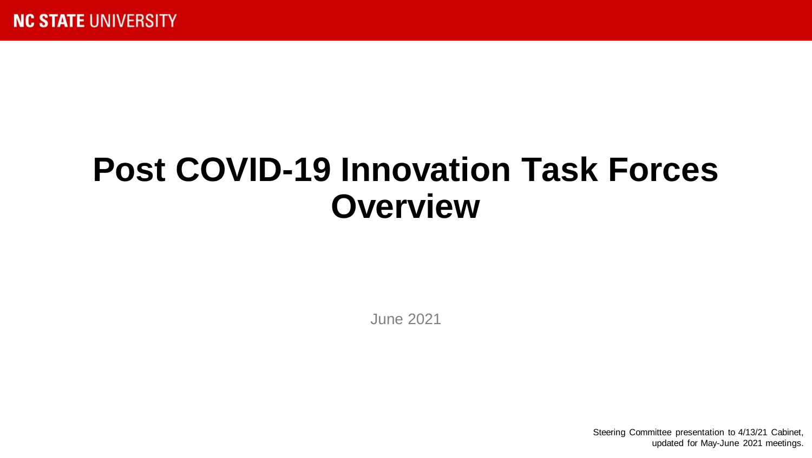# **Post COVID-19 Innovation Task Forces Overview**

June 2021

Steering Committee presentation to 4/13/21 Cabinet, updated for May-June 2021 meetings.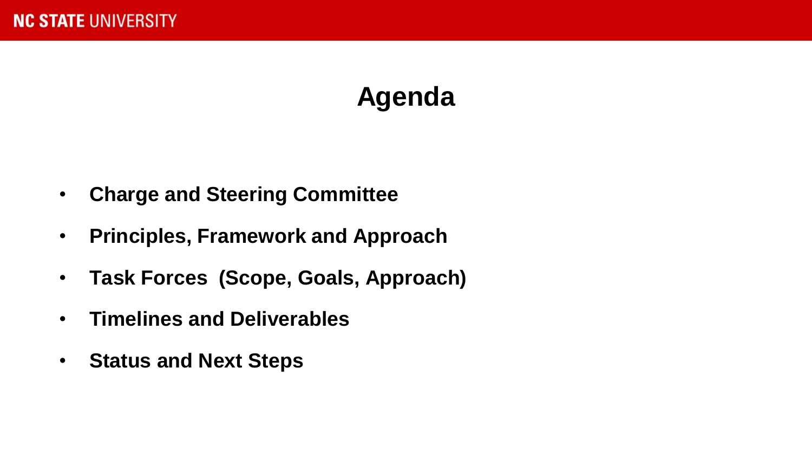# **Agenda**

- **Charge and Steering Committee**
- **Principles, Framework and Approach**
- **Task Forces (Scope, Goals, Approach)**
- **Timelines and Deliverables**
- **Status and Next Steps**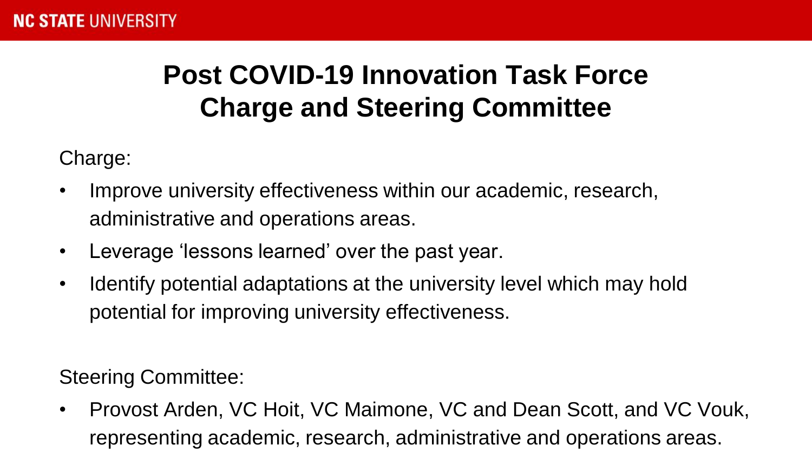# **Post COVID-19 Innovation Task Force Charge and Steering Committee**

Charge:

- Improve university effectiveness within our academic, research, administrative and operations areas.
- Leverage 'lessons learned' over the past year.
- Identify potential adaptations at the university level which may hold potential for improving university effectiveness.

Steering Committee:

• Provost Arden, VC Hoit, VC Maimone, VC and Dean Scott, and VC Vouk, representing academic, research, administrative and operations areas.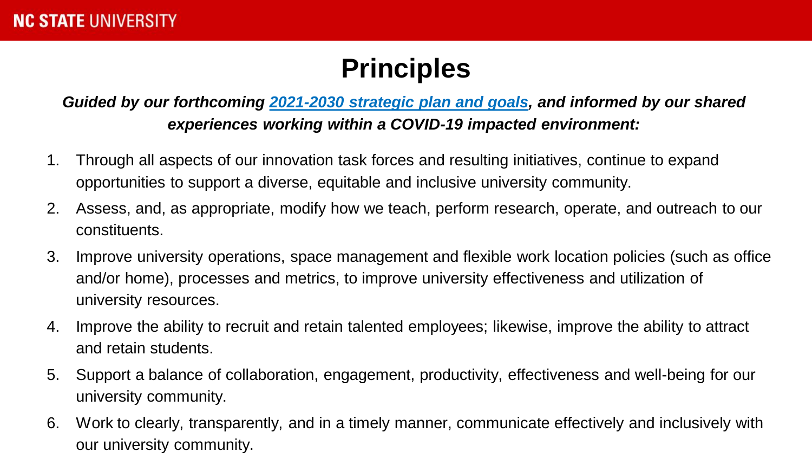# **Principles**

## *Guided by our forthcoming [2021-2030 strategic plan and goals,](https://strategicplan.ncsu.edu/current-plan/) and informed by our shared experiences working within a COVID-19 impacted environment:*

- 1. Through all aspects of our innovation task forces and resulting initiatives, continue to expand opportunities to support a diverse, equitable and inclusive university community.
- 2. Assess, and, as appropriate, modify how we teach, perform research, operate, and outreach to our constituents.
- 3. Improve university operations, space management and flexible work location policies (such as office and/or home), processes and metrics, to improve university effectiveness and utilization of university resources.
- 4. Improve the ability to recruit and retain talented employees; likewise, improve the ability to attract and retain students.
- 5. Support a balance of collaboration, engagement, productivity, effectiveness and well-being for our university community.
- 6. Work to clearly, transparently, and in a timely manner, communicate effectively and inclusively with our university community.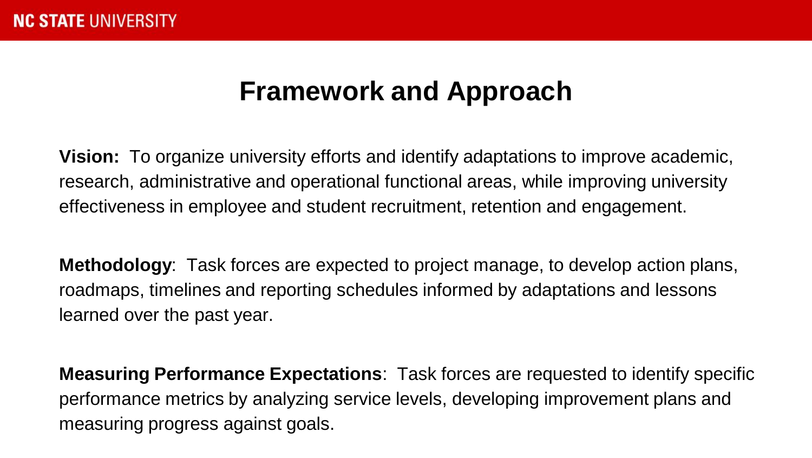# **Framework and Approach**

**Vision:** To organize university efforts and identify adaptations to improve academic, research, administrative and operational functional areas, while improving university effectiveness in employee and student recruitment, retention and engagement.

**Methodology**: Task forces are expected to project manage, to develop action plans, roadmaps, timelines and reporting schedules informed by adaptations and lessons learned over the past year.

**Measuring Performance Expectations**: Task forces are requested to identify specific performance metrics by analyzing service levels, developing improvement plans and measuring progress against goals.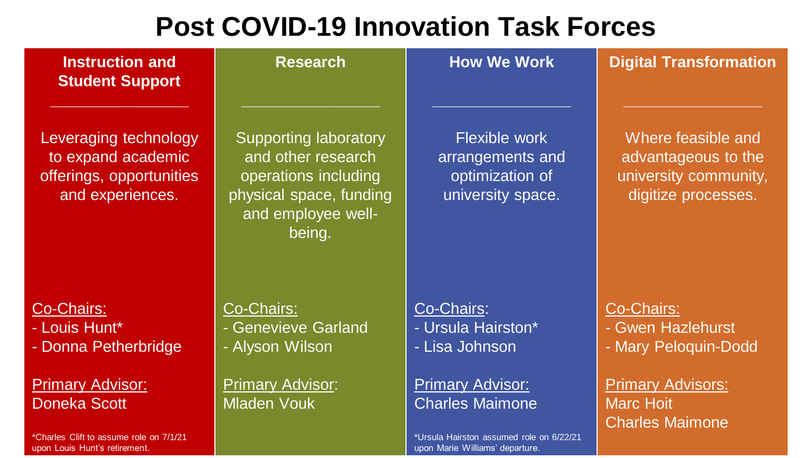# **Post COVID-19 Innovation Task Forces**

#### **\_\_\_\_\_\_\_\_\_\_\_\_\_\_\_\_ Research \_\_\_\_\_\_\_\_\_\_\_\_\_\_\_\_** Supporting laboratory and other research operations including physical space, funding and employee wellbeing. Co-Chairs: - Genevieve Garland - Alyson Wilson **How We Work \_\_\_\_\_\_\_\_\_\_\_\_\_\_\_\_** Flexible work arrangements and optimization of university space. Co-Chairs: - Ursula Hairston\* - Lisa Johnson **Digital Transformation** Where feasible and advantageous to the university community, digitize processes. Co-Chairs: - Gwen Hazlehurst - Mary Peloquin-Dodd

Primary Advisor: Charles Maimone

upon Marie Williams' departure.

\*Ursula Hairston assumed role on 6/22/21

Primary Advisors: Marc Hoit Charles Maimone

Primary Advisor: Mladen Vouk

#### **Instruction and Student Support**

Leveraging technology to expand academic offerings, opportunities and experiences.

Co-Chairs:

- Louis Hunt\* - Donna Petherbridge

Primary Advisor: Doneka Scott

\*Charles Clift to assume role on 7/1/21 upon Louis Hunt's retirement.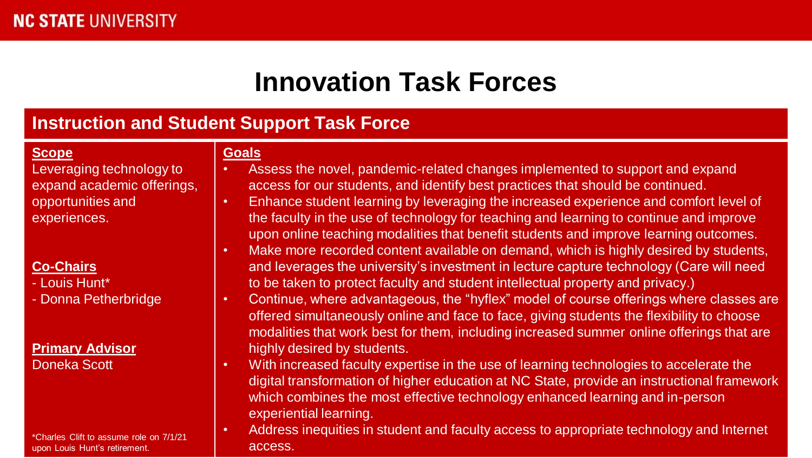## **Instruction and Student Support Task Force**

#### **Scope**

Leveraging technology to expand academic offerings, opportunities and experiences.

#### **Co-Chairs**

- Louis Hunt\*
- Donna Petherbridge

#### **Primary Advisor** Doneka Scott

\*Charles Clift to assume role on 7/1/21 upon Louis Hunt's retirement.

#### **Goals**

- Assess the novel, pandemic-related changes implemented to support and expand access for our students, and identify best practices that should be continued.
- Enhance student learning by leveraging the increased experience and comfort level of the faculty in the use of technology for teaching and learning to continue and improve upon online teaching modalities that benefit students and improve learning outcomes.
- Make more recorded content available on demand, which is highly desired by students, and leverages the university's investment in lecture capture technology (Care will need to be taken to protect faculty and student intellectual property and privacy.)
- Continue, where advantageous, the "hyflex" model of course offerings where classes are offered simultaneously online and face to face, giving students the flexibility to choose modalities that work best for them, including increased summer online offerings that are highly desired by students.
- With increased faculty expertise in the use of learning technologies to accelerate the digital transformation of higher education at NC State, provide an instructional framework which combines the most effective technology enhanced learning and in-person experiential learning.
- Address inequities in student and faculty access to appropriate technology and Internet access.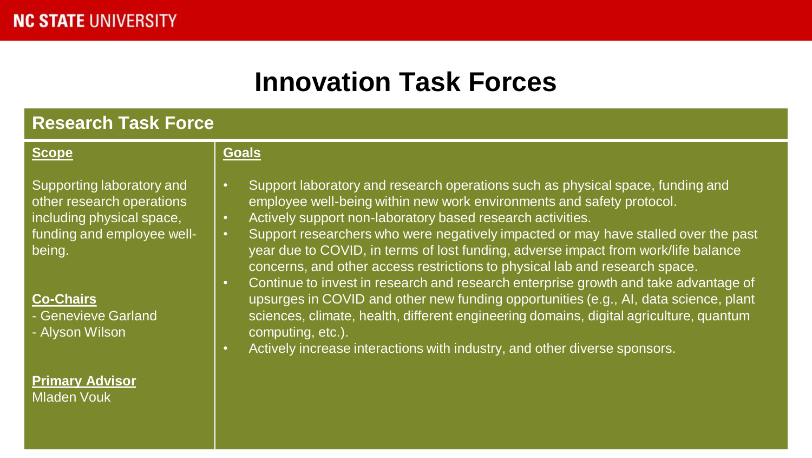## **Research Task Force**

#### **Scope**

Supporting laboratory and other research operations including physical space, funding and employee wellbeing.

#### **Co-Chairs**

- Genevieve Garland - Alyson Wilson

**Primary Advisor** Mladen Vouk

#### **Goals**

- Support laboratory and research operations such as physical space, funding and employee well-being within new work environments and safety protocol.
- Actively support non-laboratory based research activities.
- Support researchers who were negatively impacted or may have stalled over the past year due to COVID, in terms of lost funding, adverse impact from work/life balance concerns, and other access restrictions to physical lab and research space.
- Continue to invest in research and research enterprise growth and take advantage of upsurges in COVID and other new funding opportunities (e.g., AI, data science, plant sciences, climate, health, different engineering domains, digital agriculture, quantum computing, etc.).
- Actively increase interactions with industry, and other diverse sponsors.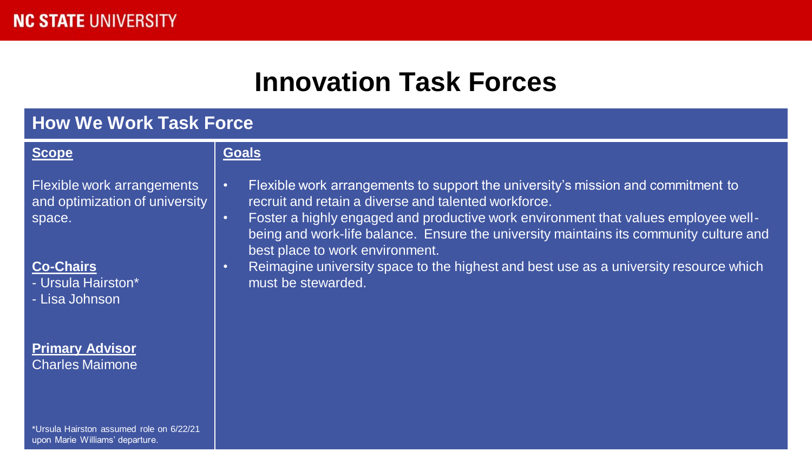### **How We Work Task Force**

#### **Scope**

#### **Goals**

Flexible work arrangements and optimization of university space.

#### **Co-Chairs**

- Ursula Hairston\*

- Lisa Johnson

#### **Primary Advisor** Charles Maimone

\*Ursula Hairston assumed role on 6/22/21 upon Marie Williams' departure.

#### • Flexible work arrangements to support the university's mission and commitment to recruit and retain a diverse and talented workforce.

- Foster a highly engaged and productive work environment that values employee wellbeing and work-life balance. Ensure the university maintains its community culture and best place to work environment.
- Reimagine university space to the highest and best use as a university resource which must be stewarded.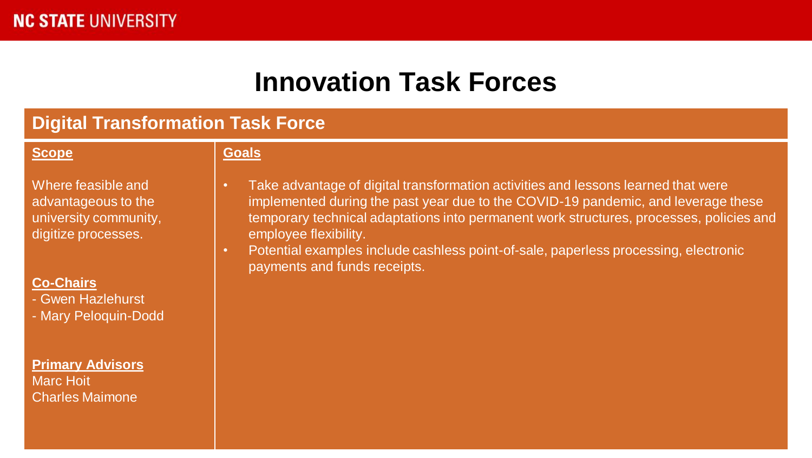### **Digital Transformation Task Force**

#### **Scope**

**Goals**

Where feasible and advantageous to the university community, digitize processes.

#### **Co-Chairs**

- Gwen Hazlehurst
- Mary Peloquin-Dodd

**Primary Advisors** Marc Hoit Charles Maimone

- Take advantage of digital transformation activities and lessons learned that were implemented during the past year due to the COVID-19 pandemic, and leverage these temporary technical adaptations into permanent work structures, processes, policies and employee flexibility.
- Potential examples include cashless point-of-sale, paperless processing, electronic payments and funds receipts.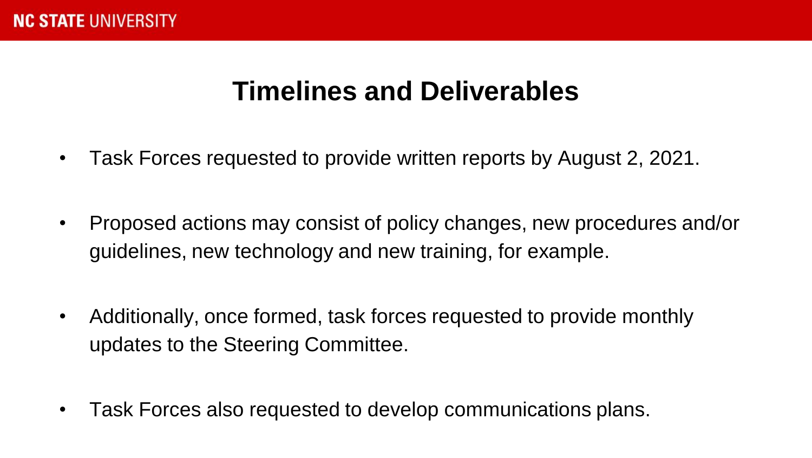# **Timelines and Deliverables**

- Task Forces requested to provide written reports by August 2, 2021.
- Proposed actions may consist of policy changes, new procedures and/or guidelines, new technology and new training, for example.
- Additionally, once formed, task forces requested to provide monthly updates to the Steering Committee.
- Task Forces also requested to develop communications plans.